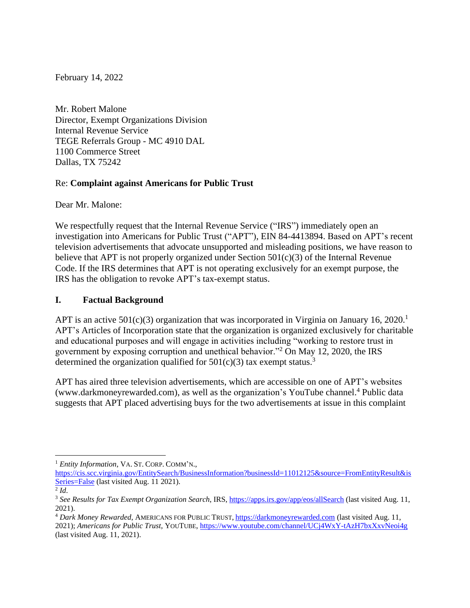February 14, 2022

Mr. Robert Malone Director, Exempt Organizations Division Internal Revenue Service TEGE Referrals Group - MC 4910 DAL 1100 Commerce Street Dallas, TX 75242

### Re: **Complaint against Americans for Public Trust**

Dear Mr. Malone:

We respectfully request that the Internal Revenue Service ("IRS") immediately open an investigation into Americans for Public Trust ("APT"), EIN 84-4413894. Based on APT's recent television advertisements that advocate unsupported and misleading positions, we have reason to believe that APT is not properly organized under Section  $501(c)(3)$  of the Internal Revenue Code. If the IRS determines that APT is not operating exclusively for an exempt purpose, the IRS has the obligation to revoke APT's tax-exempt status.

## **I. Factual Background**

APT is an active  $501(c)(3)$  organization that was incorporated in Virginia on January 16, 2020.<sup>1</sup> APT's Articles of Incorporation state that the organization is organized exclusively for charitable and educational purposes and will engage in activities including "working to restore trust in government by exposing corruption and unethical behavior."<sup>2</sup> On May 12, 2020, the IRS determined the organization qualified for  $501(c)(3)$  tax exempt status.<sup>3</sup>

APT has aired three television advertisements, which are accessible on one of APT's websites (www.darkmoneyrewarded.com), as well as the organization's YouTube channel.<sup>4</sup> Public data suggests that APT placed advertising buys for the two advertisements at issue in this complaint

<sup>1</sup> *Entity Information*, VA. ST. CORP. COMM'N.,

[https://cis.scc.virginia.gov/EntitySearch/BusinessInformation?businessId=11012125&source=FromEntityResult&is](https://cis.scc.virginia.gov/EntitySearch/BusinessInformation?businessId=11012125&source=FromEntityResult&isSeries=False) [Series=False](https://cis.scc.virginia.gov/EntitySearch/BusinessInformation?businessId=11012125&source=FromEntityResult&isSeries=False) (last visited Aug. 11 2021).

<sup>2</sup> *Id*.

<sup>3</sup> *See Results for Tax Exempt Organization Search*, IRS,<https://apps.irs.gov/app/eos/allSearch> (last visited Aug. 11, 2021).

<sup>4</sup> *Dark Money Rewarded*, AMERICANS FOR PUBLIC TRUST, [https://darkmoneyrewarded.com](https://darkmoneyrewarded.com/) (last visited Aug. 11, 2021); *Americans for Public Trust*, YOUTUBE[, https://www.youtube.com/channel/UCj4WxY-tAzH7bxXxvNeoi4g](https://www.youtube.com/channel/UCj4WxY-tAzH7bxXxvNeoi4g) (last visited Aug. 11, 2021).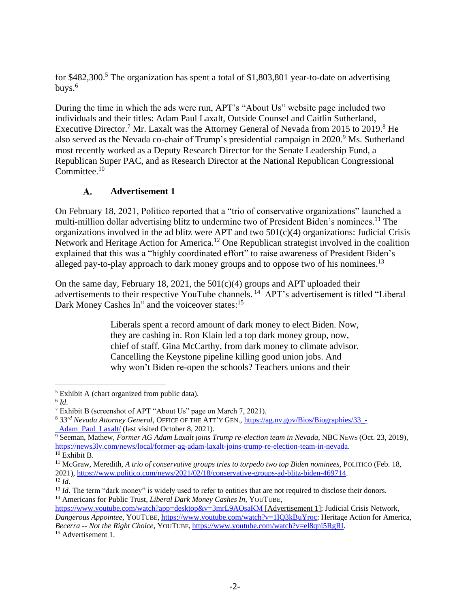for \$482,300.<sup>5</sup> The organization has spent a total of \$1,803,801 year-to-date on advertising buys. $6$ 

During the time in which the ads were run, APT's "About Us" website page included two individuals and their titles: Adam Paul Laxalt, Outside Counsel and Caitlin Sutherland, Executive Director.<sup>7</sup> Mr. Laxalt was the Attorney General of Nevada from 2015 to 2019.<sup>8</sup> He also served as the Nevada co-chair of Trump's presidential campaign in 2020.<sup>9</sup> Ms. Sutherland most recently worked as a Deputy Research Director for the Senate Leadership Fund, a Republican Super PAC, and as Research Director at the National Republican Congressional Committee.<sup>10</sup>

#### **Advertisement 1**  $\mathbf{A}$ .

On February 18, 2021, Politico reported that a "trio of conservative organizations" launched a multi-million dollar advertising blitz to undermine two of President Biden's nominees.<sup>11</sup> The organizations involved in the ad blitz were APT and two  $501(c)(4)$  organizations: Judicial Crisis Network and Heritage Action for America.<sup>12</sup> One Republican strategist involved in the coalition explained that this was a "highly coordinated effort" to raise awareness of President Biden's alleged pay-to-play approach to dark money groups and to oppose two of his nominees.<sup>13</sup>

On the same day, February 18, 2021, the  $501(c)(4)$  groups and APT uploaded their advertisements to their respective YouTube channels.<sup>14</sup> APT's advertisement is titled "Liberal Dark Money Cashes In" and the voiceover states:<sup>15</sup>

> Liberals spent a record amount of dark money to elect Biden. Now, they are cashing in. Ron Klain led a top dark money group, now, chief of staff. Gina McCarthy, from dark money to climate advisor. Cancelling the Keystone pipeline killing good union jobs. And why won't Biden re-open the schools? Teachers unions and their

<https://www.youtube.com/watch?app=desktop&v=3mrL9AOsaKM> [Advertisement 1]; Judicial Crisis Network, *Dangerous Appointee,* YOUTUBE, [https://www.youtube.com/watch?v=1IQ3kBuYroc;](https://www.youtube.com/watch?v=1IQ3kBuYroc) Heritage Action for America,

<sup>15</sup> Advertisement 1.

<sup>5</sup> Exhibit A (chart organized from public data).

<sup>6</sup> *Id*.

<sup>7</sup> Exhibit B (screenshot of APT "About Us" page on March 7, 2021).

<sup>8</sup> *33rd Nevada Attorney General*, OFFICE OF THE ATT'Y GEN., [https://ag.nv.gov/Bios/Biographies/33\\_-](https://ag.nv.gov/Bios/Biographies/33_-_Adam_Paul_Laxalt/) Adam\_Paul\_Laxalt/ (last visited October 8, 2021).

<sup>9</sup> Seeman, Mathew, *Former AG Adam Laxalt joins Trump re-election team in Nevada*, NBC NEWS (Oct. 23, 2019), [https://news3lv.com/news/local/former-ag-adam-laxalt-joins-trump-re-election-team-in-nevada.](https://news3lv.com/news/local/former-ag-adam-laxalt-joins-trump-re-election-team-in-nevada) <sup>10</sup> Exhibit B.

<sup>11</sup> McGraw, Meredith, *A trio of conservative groups tries to torpedo two top Biden nominees*, POLITICO (Feb. 18, 2021), [https://www.politico.com/news/2021/02/18/conservative-groups-ad-blitz-biden-469714.](https://www.politico.com/news/2021/02/18/conservative-groups-ad-blitz-biden-469714)  $12$  *Id.* 

<sup>&</sup>lt;sup>13</sup> *Id*. The term "dark money" is widely used to refer to entities that are not required to disclose their donors. <sup>14</sup> Americans for Public Trust, *Liberal Dark Money Cashes In*, YOUTUBE,

*Becerra -- Not the Right Choice*, YOUTUBE, [https://www.youtube.com/watch?v=el8qni5RgRI.](https://www.youtube.com/watch?v=el8qni5RgRI)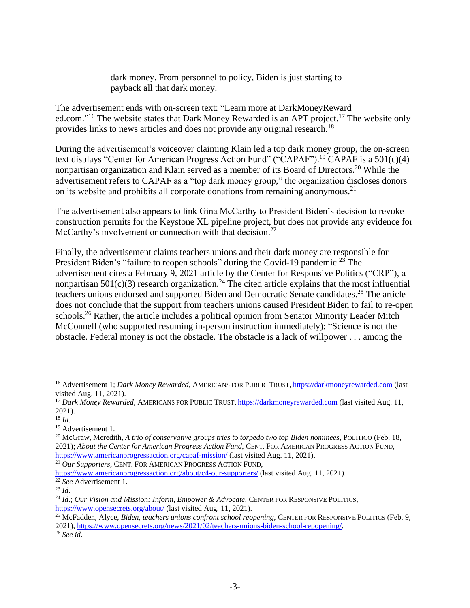dark money. From personnel to policy, Biden is just starting to payback all that dark money.

The advertisement ends with on-screen text: "Learn more at DarkMoneyReward ed.com."<sup>16</sup> The website states that Dark Money Rewarded is an APT project.<sup>17</sup> The website only provides links to news articles and does not provide any original research.<sup>18</sup>

During the advertisement's voiceover claiming Klain led a top dark money group, the on-screen text displays "Center for American Progress Action Fund" ("CAPAF").<sup>19</sup> CAPAF is a 501(c)(4) nonpartisan organization and Klain served as a member of its Board of Directors. <sup>20</sup> While the advertisement refers to CAPAF as a "top dark money group," the organization discloses donors on its website and prohibits all corporate donations from remaining anonymous.<sup>21</sup>

The advertisement also appears to link Gina McCarthy to President Biden's decision to revoke construction permits for the Keystone XL pipeline project, but does not provide any evidence for McCarthy's involvement or connection with that decision.<sup>22</sup>

Finally, the advertisement claims teachers unions and their dark money are responsible for President Biden's "failure to reopen schools" during the Covid-19 pandemic.<sup>23</sup> The advertisement cites a February 9, 2021 article by the Center for Responsive Politics ("CRP"), a nonpartisan  $501(c)(3)$  research organization.<sup>24</sup> The cited article explains that the most influential teachers unions endorsed and supported Biden and Democratic Senate candidates.<sup>25</sup> The article does not conclude that the support from teachers unions caused President Biden to fail to re-open schools.<sup>26</sup> Rather, the article includes a political opinion from Senator Minority Leader Mitch McConnell (who supported resuming in-person instruction immediately): "Science is not the obstacle. Federal money is not the obstacle. The obstacle is a lack of willpower . . . among the

<sup>20</sup> McGraw, Meredith, *A trio of conservative groups tries to torpedo two top Biden nominees*, POLITICO (Feb. 18, 2021); *About the Center for American Progress Action Fund*, CENT. FOR AMERICAN PROGRESS ACTION FUND, <https://www.americanprogressaction.org/capaf-mission/> (last visited Aug. 11, 2021).

<sup>21</sup> *Our Supporters*, CENT. FOR AMERICAN PROGRESS ACTION FUND,

<https://www.americanprogressaction.org/about/c4-our-supporters/> (last visited Aug. 11, 2021).

<sup>16</sup> Advertisement 1; *Dark Money Rewarded*, AMERICANS FOR PUBLIC TRUST, [https://darkmoneyrewarded.com](https://darkmoneyrewarded.com/) (last visited Aug. 11, 2021).

<sup>17</sup> *Dark Money Rewarded*, AMERICANS FOR PUBLIC TRUST, [https://darkmoneyrewarded.com](https://darkmoneyrewarded.com/) (last visited Aug. 11, 2021).

<sup>18</sup> *Id.*

<sup>&</sup>lt;sup>19</sup> Advertisement 1.

<sup>22</sup> *See* Advertisement 1.

<sup>23</sup> *Id*.

<sup>24</sup> *Id*.; *Our Vision and Mission: Inform, Empower & Advocate*, CENTER FOR RESPONSIVE POLITICS, <https://www.opensecrets.org/about/> (last visited Aug. 11, 2021).

<sup>25</sup> McFadden, Alyce, *Biden, teachers unions confront school reopening*, CENTER FOR RESPONSIVE POLITICS (Feb. 9, 2021), [https://www.opensecrets.org/news/2021/02/teachers-unions-biden-school-repopening/.](https://www.opensecrets.org/news/2021/02/teachers-unions-biden-school-repopening/)

<sup>26</sup> *See id*.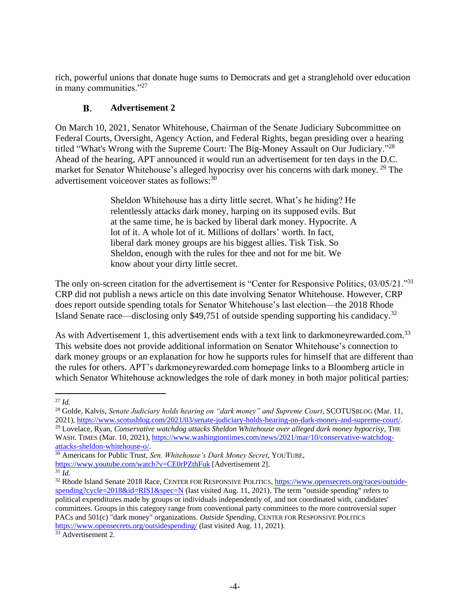rich, powerful unions that donate huge sums to Democrats and get a stranglehold over education in many communities."<sup>27</sup>

#### $\mathbf{R}$ **Advertisement 2**

On March 10, 2021, Senator Whitehouse, Chairman of the Senate Judiciary Subcommittee on Federal Courts, Oversight, Agency Action, and Federal Rights, began presiding over a hearing titled "What's Wrong with the Supreme Court: The Big-Money Assault on Our Judiciary."<sup>28</sup> Ahead of the hearing, APT announced it would run an advertisement for ten days in the D.C. market for Senator Whitehouse's alleged hypocrisy over his concerns with dark money.<sup>29</sup> The advertisement voiceover states as follows:<sup>30</sup>

> Sheldon Whitehouse has a dirty little secret. What's he hiding? He relentlessly attacks dark money, harping on its supposed evils. But at the same time, he is backed by liberal dark money. Hypocrite. A lot of it. A whole lot of it. Millions of dollars' worth. In fact, liberal dark money groups are his biggest allies. Tisk Tisk. So Sheldon, enough with the rules for thee and not for me bit. We know about your dirty little secret.

The only on-screen citation for the advertisement is "Center for Responsive Politics, 03/05/21."<sup>31</sup> CRP did not publish a news article on this date involving Senator Whitehouse. However, CRP does report outside spending totals for Senator Whitehouse's last election—the 2018 Rhode Island Senate race—disclosing only  $$49,751$  of outside spending supporting his candidacy.<sup>32</sup>

As with Advertisement 1, this advertisement ends with a text link to darkmoneyrewarded.com.<sup>33</sup> This website does not provide additional information on Senator Whitehouse's connection to dark money groups or an explanation for how he supports rules for himself that are different than the rules for others. APT's darkmoneyrewarded.com homepage links to a Bloomberg article in which Senator Whitehouse acknowledges the role of dark money in both major political parties:

<sup>27</sup> *Id*.

<sup>28</sup> Golde, Kalvis, *Senate Judiciary holds hearing on "dark money" and Supreme Court*, SCOTUSBLOG (Mar. 11, 2021), [https://www.scotusblog.com/2021/03/senate-judiciary-holds-hearing-on-dark-money-and-supreme-court/.](https://www.scotusblog.com/2021/03/senate-judiciary-holds-hearing-on-dark-money-and-supreme-court/) <sup>29</sup> Lovelace, Ryan, *Conservative watchdog attacks Sheldon Whitehouse over alleged dark money hypocrisy*, THE WASH. TIMES (Mar. 10, 2021), [https://www.washingtontimes.com/news/2021/mar/10/conservative-watchdog](https://www.washingtontimes.com/news/2021/mar/10/conservative-watchdog-attacks-sheldon-whitehouse-o/)[attacks-sheldon-whitehouse-o/.](https://www.washingtontimes.com/news/2021/mar/10/conservative-watchdog-attacks-sheldon-whitehouse-o/)

<sup>30</sup> Americans for Public Trust, *Sen. Whitehouse's Dark Money Secret*, YOUTUBE, <https://www.youtube.com/watch?v=CE0rPZthFuk> [Advertisement 2].

 $31$   $\overline{Id}$ .

<sup>&</sup>lt;sup>32</sup> Rhode Island Senate 2018 Race, CENTER FOR RESPONSIVE POLITICS, [https://www.opensecrets.org/races/outside](https://www.opensecrets.org/races/outside-spending?cycle=2018&id=RIS1&spec=N)[spending?cycle=2018&id=RIS1&spec=N](https://www.opensecrets.org/races/outside-spending?cycle=2018&id=RIS1&spec=N) (last visited Aug. 11, 2021). The term "outside spending" refers to political expenditures made by groups or individuals independently of, and not coordinated with, candidates' committees. Groups in this category range from conventional party committees to the more controversial super PACs and 501(c) "dark money" organizations. *Outside Spending*, CENTER FOR RESPONSIVE POLITICS <https://www.opensecrets.org/outsidespending/> (last visited Aug. 11, 2021).

<sup>&</sup>lt;sup>33</sup> Advertisement 2.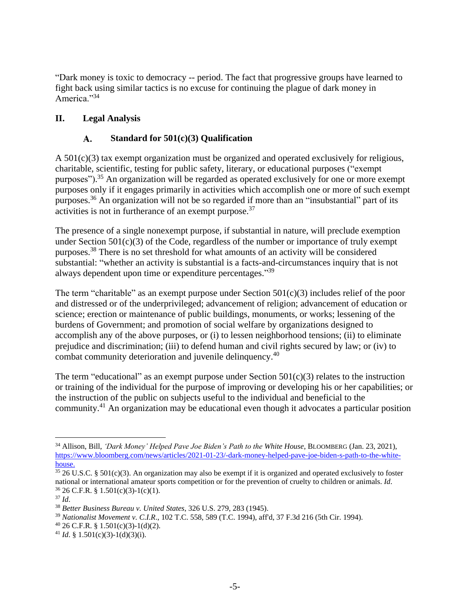"Dark money is toxic to democracy -- period. The fact that progressive groups have learned to fight back using similar tactics is no excuse for continuing the plague of dark money in America."<sup>34</sup>

# **II. Legal Analysis**

#### **Standard for 501(c)(3) Qualification**  $\mathbf{A}$ .

A  $501(c)(3)$  tax exempt organization must be organized and operated exclusively for religious, charitable, scientific, testing for public safety, literary, or educational purposes ("exempt purposes").<sup>35</sup> An organization will be regarded as operated exclusively for one or more exempt purposes only if it engages primarily in activities which accomplish one or more of such exempt purposes.<sup>36</sup> An organization will not be so regarded if more than an "insubstantial" part of its activities is not in furtherance of an exempt purpose.<sup>37</sup>

The presence of a single nonexempt purpose, if substantial in nature, will preclude exemption under Section  $501(c)(3)$  of the Code, regardless of the number or importance of truly exempt purposes.<sup>38</sup> There is no set threshold for what amounts of an activity will be considered substantial: "whether an activity is substantial is a facts-and-circumstances inquiry that is not always dependent upon time or expenditure percentages."<sup>39</sup>

The term "charitable" as an exempt purpose under Section  $501(c)(3)$  includes relief of the poor and distressed or of the underprivileged; advancement of religion; advancement of education or science; erection or maintenance of public buildings, monuments, or works; lessening of the burdens of Government; and promotion of social welfare by organizations designed to accomplish any of the above purposes, or (i) to lessen neighborhood tensions; (ii) to eliminate prejudice and discrimination; (iii) to defend human and civil rights secured by law; or (iv) to combat community deterioration and juvenile delinquency.<sup>40</sup>

The term "educational" as an exempt purpose under Section  $501(c)(3)$  relates to the instruction or training of the individual for the purpose of improving or developing his or her capabilities; or the instruction of the public on subjects useful to the individual and beneficial to the community.<sup>41</sup> An organization may be educational even though it advocates a particular position

- $^{40}$  26 C.F.R. § 1.501(c)(3)-1(d)(2).
- <sup>41</sup> *Id.* § 1.501(c)(3)-1(d)(3)(i).

<sup>&</sup>lt;sup>34</sup> Allison, Bill, *'Dark Money' Helped Pave Joe Biden's Path to the White House*, BLOOMBERG (Jan. 23, 2021), [https://www.bloomberg.com/news/articles/2021-01-23/-dark-money-helped-pave-joe-biden-s-path-to-the-white](https://www.bloomberg.com/news/articles/2021-01-23/-dark-money-helped-pave-joe-biden-s-path-to-the-white-house)[house.](https://www.bloomberg.com/news/articles/2021-01-23/-dark-money-helped-pave-joe-biden-s-path-to-the-white-house)

 $35$  26 U.S.C. § 501(c)(3). An organization may also be exempt if it is organized and operated exclusively to foster national or international amateur sports competition or for the prevention of cruelty to children or animals. *Id*. <sup>36</sup> 26 C.F.R. § 1.501(c)(3)-1(c)(1).

<sup>37</sup> *Id*.

<sup>38</sup> *Better Business Bureau v. United States*, 326 U.S. 279, 283 (1945).

<sup>39</sup> *Nationalist Movement v. C.I.R*., 102 T.C. 558, 589 (T.C. 1994), aff'd, 37 F.3d 216 (5th Cir. 1994).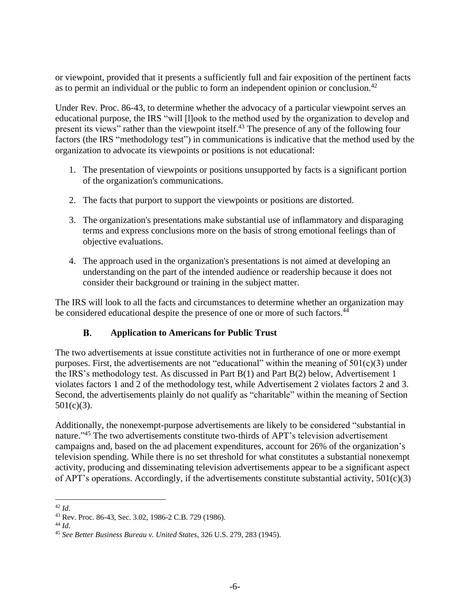or viewpoint, provided that it presents a sufficiently full and fair exposition of the pertinent facts as to permit an individual or the public to form an independent opinion or conclusion.<sup>42</sup>

Under Rev. Proc. 86-43, to determine whether the advocacy of a particular viewpoint serves an educational purpose, the IRS "will [l]ook to the method used by the organization to develop and present its views" rather than the viewpoint itself.<sup>43</sup> The presence of any of the following four factors (the IRS "methodology test") in communications is indicative that the method used by the organization to advocate its viewpoints or positions is not educational:

- 1. The presentation of viewpoints or positions unsupported by facts is a significant portion of the organization's communications.
- 2. The facts that purport to support the viewpoints or positions are distorted.
- 3. The organization's presentations make substantial use of inflammatory and disparaging terms and express conclusions more on the basis of strong emotional feelings than of objective evaluations.
- 4. The approach used in the organization's presentations is not aimed at developing an understanding on the part of the intended audience or readership because it does not consider their background or training in the subject matter.

The IRS will look to all the facts and circumstances to determine whether an organization may be considered educational despite the presence of one or more of such factors.<sup>44</sup>

#### **Application to Americans for Public Trust B.**

The two advertisements at issue constitute activities not in furtherance of one or more exempt purposes. First, the advertisements are not "educational" within the meaning of  $501(c)(3)$  under the IRS's methodology test. As discussed in Part B(1) and Part B(2) below, Advertisement 1 violates factors 1 and 2 of the methodology test, while Advertisement 2 violates factors 2 and 3. Second, the advertisements plainly do not qualify as "charitable" within the meaning of Section  $501(c)(3)$ .

Additionally, the nonexempt-purpose advertisements are likely to be considered "substantial in nature."<sup>45</sup> The two advertisements constitute two-thirds of APT's television advertisement campaigns and, based on the ad placement expenditures, account for 26% of the organization's television spending. While there is no set threshold for what constitutes a substantial nonexempt activity, producing and disseminating television advertisements appear to be a significant aspect of APT's operations. Accordingly, if the advertisements constitute substantial activity, 501(c)(3)

<sup>42</sup> *Id*.

<sup>43</sup> Rev. Proc. 86-43, Sec. 3.02, 1986-2 C.B. 729 (1986).

<sup>44</sup> *Id*.

<sup>45</sup> *See Better Business Bureau v. United States*, 326 U.S. 279, 283 (1945).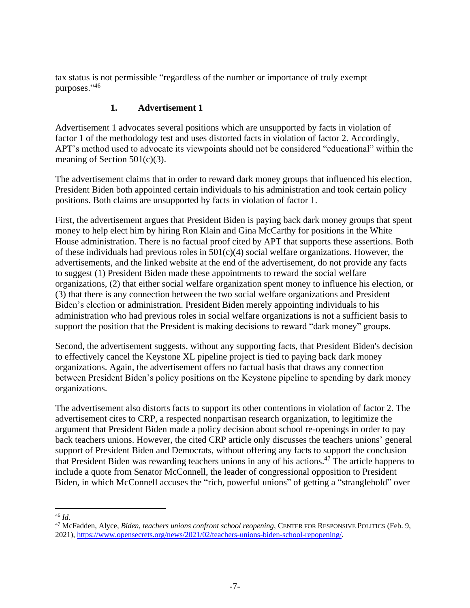tax status is not permissible "regardless of the number or importance of truly exempt purposes."46

# **1. Advertisement 1**

Advertisement 1 advocates several positions which are unsupported by facts in violation of factor 1 of the methodology test and uses distorted facts in violation of factor 2. Accordingly, APT's method used to advocate its viewpoints should not be considered "educational" within the meaning of Section 501(c)(3).

The advertisement claims that in order to reward dark money groups that influenced his election, President Biden both appointed certain individuals to his administration and took certain policy positions. Both claims are unsupported by facts in violation of factor 1.

First, the advertisement argues that President Biden is paying back dark money groups that spent money to help elect him by hiring Ron Klain and Gina McCarthy for positions in the White House administration. There is no factual proof cited by APT that supports these assertions. Both of these individuals had previous roles in  $501(c)(4)$  social welfare organizations. However, the advertisements, and the linked website at the end of the advertisement, do not provide any facts to suggest (1) President Biden made these appointments to reward the social welfare organizations, (2) that either social welfare organization spent money to influence his election, or (3) that there is any connection between the two social welfare organizations and President Biden's election or administration. President Biden merely appointing individuals to his administration who had previous roles in social welfare organizations is not a sufficient basis to support the position that the President is making decisions to reward "dark money" groups.

Second, the advertisement suggests, without any supporting facts, that President Biden's decision to effectively cancel the Keystone XL pipeline project is tied to paying back dark money organizations. Again, the advertisement offers no factual basis that draws any connection between President Biden's policy positions on the Keystone pipeline to spending by dark money organizations.

The advertisement also distorts facts to support its other contentions in violation of factor 2. The advertisement cites to CRP, a respected nonpartisan research organization, to legitimize the argument that President Biden made a policy decision about school re-openings in order to pay back teachers unions. However, the cited CRP article only discusses the teachers unions' general support of President Biden and Democrats, without offering any facts to support the conclusion that President Biden was rewarding teachers unions in any of his actions.<sup>47</sup> The article happens to include a quote from Senator McConnell, the leader of congressional opposition to President Biden, in which McConnell accuses the "rich, powerful unions" of getting a "stranglehold" over

<sup>46</sup> *Id*.

<sup>47</sup> McFadden, Alyce, *Biden, teachers unions confront school reopening*, CENTER FOR RESPONSIVE POLITICS (Feb. 9, 2021), [https://www.opensecrets.org/news/2021/02/teachers-unions-biden-school-repopening/.](https://www.opensecrets.org/news/2021/02/teachers-unions-biden-school-repopening/)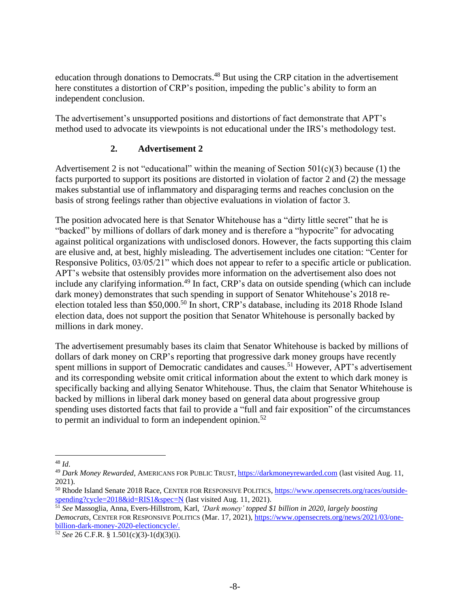education through donations to Democrats.<sup>48</sup> But using the CRP citation in the advertisement here constitutes a distortion of CRP's position, impeding the public's ability to form an independent conclusion.

The advertisement's unsupported positions and distortions of fact demonstrate that APT's method used to advocate its viewpoints is not educational under the IRS's methodology test.

## **2. Advertisement 2**

Advertisement 2 is not "educational" within the meaning of Section  $501(c)(3)$  because (1) the facts purported to support its positions are distorted in violation of factor 2 and (2) the message makes substantial use of inflammatory and disparaging terms and reaches conclusion on the basis of strong feelings rather than objective evaluations in violation of factor 3.

The position advocated here is that Senator Whitehouse has a "dirty little secret" that he is "backed" by millions of dollars of dark money and is therefore a "hypocrite" for advocating against political organizations with undisclosed donors. However, the facts supporting this claim are elusive and, at best, highly misleading. The advertisement includes one citation: "Center for Responsive Politics, 03/05/21" which does not appear to refer to a specific article or publication. APT's website that ostensibly provides more information on the advertisement also does not include any clarifying information.<sup>49</sup> In fact, CRP's data on outside spending (which can include dark money) demonstrates that such spending in support of Senator Whitehouse's 2018 reelection totaled less than \$50,000.<sup>50</sup> In short, CRP's database, including its 2018 Rhode Island election data, does not support the position that Senator Whitehouse is personally backed by millions in dark money.

The advertisement presumably bases its claim that Senator Whitehouse is backed by millions of dollars of dark money on CRP's reporting that progressive dark money groups have recently spent millions in support of Democratic candidates and causes.<sup>51</sup> However, APT's advertisement and its corresponding website omit critical information about the extent to which dark money is specifically backing and allying Senator Whitehouse. Thus, the claim that Senator Whitehouse is backed by millions in liberal dark money based on general data about progressive group spending uses distorted facts that fail to provide a "full and fair exposition" of the circumstances to permit an individual to form an independent opinion.<sup>52</sup>

<sup>48</sup> *Id*.

<sup>49</sup> *Dark Money Rewarded*, AMERICANS FOR PUBLIC TRUST, [https://darkmoneyrewarded.com](https://darkmoneyrewarded.com/) (last visited Aug. 11, 2021).

<sup>50</sup> Rhode Island Senate 2018 Race, CENTER FOR RESPONSIVE POLITICS, [https://www.opensecrets.org/races/outside](https://www.opensecrets.org/races/outside-spending?cycle=2018&id=RIS1&spec=N)[spending?cycle=2018&id=RIS1&spec=N](https://www.opensecrets.org/races/outside-spending?cycle=2018&id=RIS1&spec=N) (last visited Aug. 11, 2021).

<sup>51</sup> *See* Massoglia, Anna, Evers-Hillstrom, Karl, *'Dark money' topped \$1 billion in 2020, largely boosting Democrats*, CENTER FOR RESPONSIVE POLITICS (Mar. 17, 2021), [https://www.opensecrets.org/news/2021/03/one](https://www.opensecrets.org/news/2021/03/one-billion-dark-money-2020-electioncycle/)[billion-dark-money-2020-electioncycle/.](https://www.opensecrets.org/news/2021/03/one-billion-dark-money-2020-electioncycle/)

<sup>52</sup> *See* 26 C.F.R. § 1.501(c)(3)-1(d)(3)(i).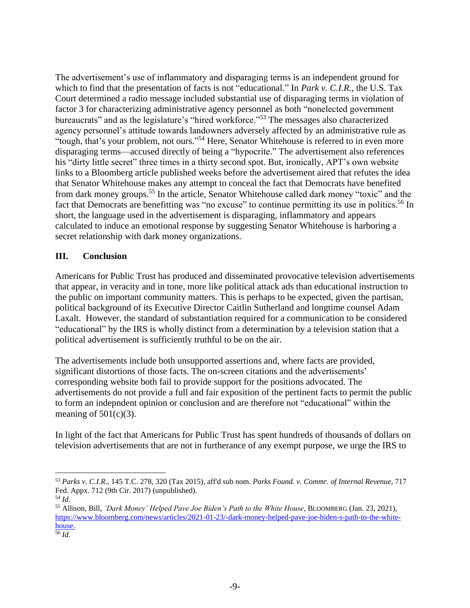The advertisement's use of inflammatory and disparaging terms is an independent ground for which to find that the presentation of facts is not "educational." In *Park v. C.I.R.*, the U.S. Tax Court determined a radio message included substantial use of disparaging terms in violation of factor 3 for characterizing administrative agency personnel as both "nonelected government bureaucrats" and as the legislature's "hired workforce."<sup>53</sup> The messages also characterized agency personnel's attitude towards landowners adversely affected by an administrative rule as "tough, that's your problem, not ours."<sup>54</sup> Here, Senator Whitehouse is referred to in even more disparaging terms—accused directly of being a "hypocrite." The advertisement also references his "dirty little secret" three times in a thirty second spot. But, ironically, APT's own website links to a Bloomberg article published weeks before the advertisement aired that refutes the idea that Senator Whitehouse makes any attempt to conceal the fact that Democrats have benefited from dark money groups.<sup>55</sup> In the article, Senator Whitehouse called dark money "toxic" and the fact that Democrats are benefitting was "no excuse" to continue permitting its use in politics.<sup>56</sup> In short, the language used in the advertisement is disparaging, inflammatory and appears calculated to induce an emotional response by suggesting Senator Whitehouse is harboring a secret relationship with dark money organizations.

### **III. Conclusion**

Americans for Public Trust has produced and disseminated provocative television advertisements that appear, in veracity and in tone, more like political attack ads than educational instruction to the public on important community matters. This is perhaps to be expected, given the partisan, political background of its Executive Director Caitlin Sutherland and longtime counsel Adam Laxalt. However, the standard of substantiation required for a communication to be considered "educational" by the IRS is wholly distinct from a determination by a television station that a political advertisement is sufficiently truthful to be on the air.

The advertisements include both unsupported assertions and, where facts are provided, significant distortions of those facts. The on-screen citations and the advertisements' corresponding website both fail to provide support for the positions advocated. The advertisements do not provide a full and fair exposition of the pertinent facts to permit the public to form an indepndent opinion or conclusion and are therefore not "educational" within the meaning of  $501(c)(3)$ .

In light of the fact that Americans for Public Trust has spent hundreds of thousands of dollars on television advertisements that are not in furtherance of any exempt purpose, we urge the IRS to

<sup>53</sup> *Parks v. C.I.R*., 145 T.C. 278, 320 (Tax 2015), aff'd sub nom. *Parks Found. v. Commr. of Internal Revenue*, 717 Fed. Appx. 712 (9th Cir. 2017) (unpublished).

<sup>54</sup> *Id*.

<sup>55</sup> Allison, Bill, *'Dark Money' Helped Pave Joe Biden's Path to the White House*, BLOOMBERG (Jan. 23, 2021), [https://www.bloomberg.com/news/articles/2021-01-23/-dark-money-helped-pave-joe-biden-s-path-to-the-white](https://www.bloomberg.com/news/articles/2021-01-23/-dark-money-helped-pave-joe-biden-s-path-to-the-white-house)[house.](https://www.bloomberg.com/news/articles/2021-01-23/-dark-money-helped-pave-joe-biden-s-path-to-the-white-house)

<sup>56</sup> *Id*.